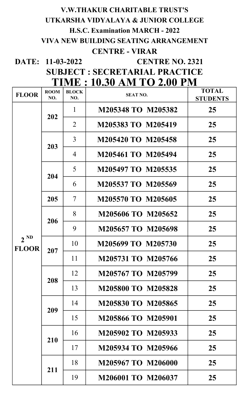# V.W.THAKUR CHARITABLE TRUST'S UTKARSHA VIDYALAYA & JUNIOR COLLEGE H.S.C. Examination MARCH - 2022 VIVA NEW BUILDING SEATING ARRANGEMENT CENTRE - VIRAR

DATE: 11-03-2022

CENTRE NO. 2321

SUBJECT : SECRETARIAL PRACTICE TIME : 10.30 AM TO 2.00 PM

| <b>FLOOR</b>             | <b>ROOM</b><br>NO. | <b>BLOCK</b><br>NO.      | <b>SEAT NO.</b>           | <b>TOTAL</b><br><b>STUDENTS</b> |
|--------------------------|--------------------|--------------------------|---------------------------|---------------------------------|
| $2^{ND}$<br><b>FLOOR</b> | 202                | $\mathbf{1}$             | M205348 TO M205382        | 25                              |
|                          |                    | $\overline{2}$           | M205383 TO M205419        | 25                              |
|                          | 203                | 3                        | M205420 TO M205458        | 25                              |
|                          |                    | $\overline{4}$           | M205461 TO M205494        | 25                              |
|                          | 204                | 5                        | M205497 TO M205535        | 25                              |
|                          |                    | 6                        | M205537 TO M205569        | 25                              |
|                          | 205                | $\overline{\mathcal{L}}$ | M205570 TO M205605        | 25                              |
|                          | 206                | 8                        | M205606 TO M205652        | 25                              |
|                          |                    | 9                        | M205657 TO M205698        | 25                              |
|                          | 207                | 10                       | M205699 TO M205730        | 25                              |
|                          |                    | 11                       | M205731 TO M205766        | 25                              |
|                          | 208                | 12                       | M205767 TO M205799        | 25                              |
|                          |                    | 13                       | <b>M205800 TO M205828</b> | 25                              |
|                          | 209                | 14                       | M205830 TO M205865        | 25                              |
|                          |                    | 15                       | M205866 TO M205901        | 25                              |
|                          | 210                | 16                       | M205902 TO M205933        | 25                              |
|                          |                    | 17                       | M205934 TO M205966        | 25                              |
|                          | 211                | 18                       | M205967 TO M206000        | 25                              |
|                          |                    | 19                       | M206001 TO M206037        | 25                              |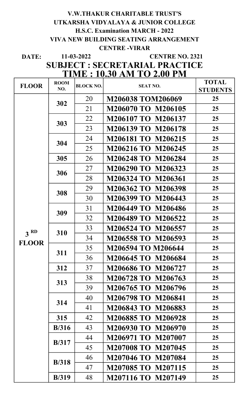## V.W.THAKUR CHARITABLE TRUST'S UTKARSHA VIDYALAYA & JUNIOR COLLEGE H.S.C. Examination MARCH - 2022 VIVA NEW BUILDING SEATING ARRANGEMENT CENTRE -VIRAR

DATE:

11-03-2022

# CENTRE NO. 2321

SUBJECT : SECRETARIAL PRACTICE TIME : 10.30 AM TO 2.00 PM

| <b>FLOOR</b>    | <b>ROOM</b>   | <b>BLOCK NO.</b> | <b>SEAT NO.</b>           | <b>TOTAL</b>    |
|-----------------|---------------|------------------|---------------------------|-----------------|
|                 | NO.           |                  |                           | <b>STUDENTS</b> |
|                 | 302           | 20               | <b>M206038 TOM206069</b>  | 25              |
|                 |               | 21               | M206070 TO M206105        | 25              |
|                 | 303           | 22               | M206107 TO M206137        | 25              |
|                 |               | 23               | M206139 TO M206178        | 25              |
|                 | 304           | 24               | M206181 TO M206215        | 25              |
|                 |               | 25               | M206216 TO M206245        | 25              |
|                 | 305           | 26               | M206248 TO M206284        | 25              |
|                 | 306           | 27               | M206290 TO M206323        | 25              |
|                 |               | 28               | M206324 TO M206361        | 25              |
|                 | 308           | 29               | M206362 TO M206398        | 25              |
|                 |               | 30               | M206399 TO M206443        | 25              |
|                 | 309           | 31               | M206449 TO M206486        | 25              |
|                 |               | 32               | M206489 TO M206522        | 25              |
| 3 <sup>RD</sup> | 310           | 33               | M206524 TO M206557        | 25              |
| <b>FLOOR</b>    |               | 34               | M206558 TO M206593        | 25              |
|                 |               | 35               | M206594 TO M206644        | 25              |
|                 | 311           | 36               | M206645 TO M206684        | 25              |
|                 | 312           | 37               | M206686 TO M206727        | 25              |
|                 | 313           | 38               | M206728 TO M206763        | 25              |
|                 |               | 39               | M206765 TO M206796        | 25              |
|                 | 314           | 40               | M206798 TO M206841        | 25              |
|                 |               | 41               | M206843 TO M206883        | 25              |
|                 | 315           | 42               | M206885 TO M206928        | 25              |
|                 | B/316         | 43               | M206930 TO M206970        | 25              |
|                 |               | 44               | M206971 TO M207007        | 25              |
|                 | B/317         | 45               | <b>M207008 TO M207045</b> | 25              |
|                 | <b>B</b> /318 | 46               | M207046 TO M207084        | 25              |
|                 |               | 47               | M207085 TO M207115        | 25              |
|                 | <b>B</b> /319 | 48               | M207116 TO M207149        | 25              |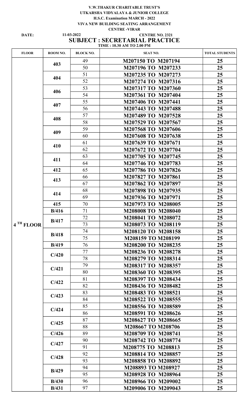#### V.W.THAKUR CHARITABLE TRUST'S UTKARSHA VIDYALAYA & JUNIOR COLLEGE H.S.C. Examination MARCH - 2022 VIVA NEW BUILDING SEATING ARRANGEMENT CENTRE -VIRAR

#### DATE: 11-03-2022 CENTRE NO. 2321 SUBJECT : SECRETARIAL PRACTICE TIME : 10.30 AM TO 2.00 PM 11-03-2022

| <b>FLOOR</b>          | ROOM NO.      | <b>BLOCK NO.</b> | <b>SEAT NO.</b>    | <b>TOTAL STUDENTS</b> |
|-----------------------|---------------|------------------|--------------------|-----------------------|
|                       |               | 49               | M207150 TO M207194 | 25                    |
|                       | 403           | 50               | M207196 TO M207233 | 25                    |
|                       |               | 51               | M207235 TO M207273 | 25                    |
|                       | 404           | 52               | M207274 TO M207316 | 25                    |
|                       | 406           | 53               | M207317 TO M207360 | 25                    |
|                       |               | 54               | M207361 TO M207404 | 25                    |
|                       | 407           | 55               | M207406 TO M207441 | 25                    |
|                       |               | 56               | M207443 TO M207488 | 25                    |
|                       | 408           | 57               | M207489 TO M207528 | 25                    |
|                       |               | 58               | M207529 TO M207567 | 25                    |
|                       |               | 59               | M207568 TO M207606 | 25                    |
|                       | 409           | 60               | M207608 TO M207638 | 25                    |
|                       |               | 61               | M207639 TO M207671 | 25                    |
|                       | 410           | 62               | M207672 TO M207704 | 25                    |
|                       |               | 63               | M207705 TO M207745 | 25                    |
|                       | 411           | 64               | M207746 TO M207783 | 25                    |
|                       | 412           | 65               | M207786 TO M207826 | 25                    |
|                       |               | 66               | M207827 TO M207861 | 25                    |
|                       | 413           | 67               | M207862 TO M207897 | 25                    |
|                       |               | 68               | M207898 TO M207935 | 25                    |
|                       | 414           | 69               | M207936 TO M207971 | 25                    |
|                       | 415           | 70               | M207973 TO M208005 | 25                    |
|                       | <b>B</b> /416 | 71               | M208008 TO M208040 | 25                    |
|                       |               | 72               | M208041 TO M208072 | 25                    |
| 4 <sup>TH</sup> FLOOR | <b>B</b> /417 | 73               | M208073 TO M208119 | 25                    |
|                       |               | 74               | M208120 TO M208158 | 25                    |
|                       | B/418         | 75               | M208159 TO M208199 | 25                    |
|                       | B/419         | 76               | M208200 TO M208235 | 25 <sub>1</sub>       |
|                       |               | 77               | M208236 TO M208278 | 25 <sub>1</sub>       |
|                       | C/420         | 78               | M208279 TO M208314 | 25 <sub>1</sub>       |
|                       | C/421         | 79               | M208317 TO M208357 | 25 <sub>1</sub>       |
|                       |               | 80               | M208360 TO M208395 | 25                    |
|                       |               | 81               | M208397 TO M208434 | 25 <sub>1</sub>       |
|                       | C/422         | 82               | M208436 TO M208482 | 25 <sub>1</sub>       |
|                       | C/423         | 83               | M208483 TO M208521 | 25 <sub>1</sub>       |
|                       |               | 84               | M208522 TO M208555 | 25 <sub>1</sub>       |
|                       |               | 85               | M208556 TO M208589 | 25                    |
|                       | C/424         | 86               | M208591 TO M208626 | 25                    |
|                       |               | 87               | M208627 TO M208665 | 25 <sub>1</sub>       |
|                       | C/425         | 88               | M208667 TO M208706 | 25                    |
|                       | C/426         | 89               | M208709 TO M208741 | 25 <sub>1</sub>       |
|                       | C/427         | 90               | M208742 TO M208774 | 25                    |
|                       |               | 91               | M208775 TO M208813 | 25                    |
|                       | C/428         | 92               | M208814 TO M208857 | 25 <sub>1</sub>       |
|                       |               | 93               | M208858 TO M208892 | 25 <sub>1</sub>       |
|                       | B/429         | 94               | M208893 TO M208927 | 25 <sub>1</sub>       |
|                       |               | 95               | M208928 TO M208964 | 25                    |
|                       | B/430         | 96               | M208966 TO M209002 | 25                    |
|                       | <b>B</b> /431 | 97               | M209006 TO M209043 | 25                    |